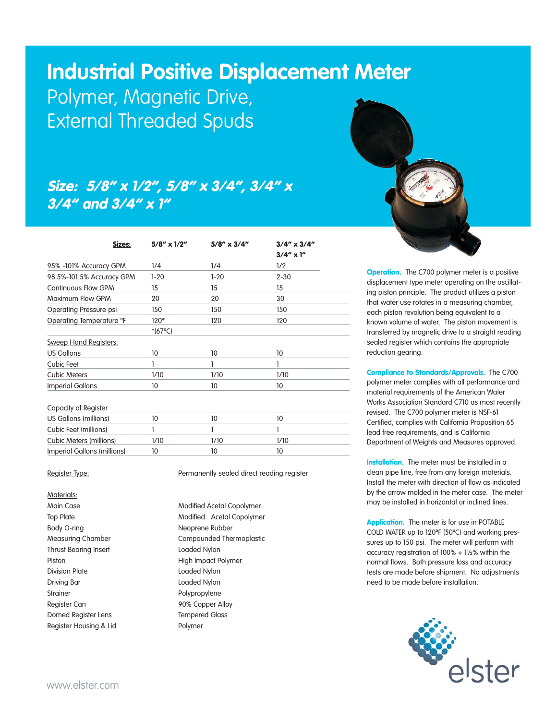## **Industrial Positive Displacement Meter**

Polymer, Magnetic Drive, External Threaded Spuds

## Size: 5/8" x 1/2", 5/8" x 3/4", 3/4" x 3/4" and 3/4" x 1"

| Sizes:                                 | $5/8'' \times 1/2''$ | $5/8'' \times 3/4''$ | $3/4'' \times 3/4''$<br>$3/4'' \times 1''$<br>1/2 |  |
|----------------------------------------|----------------------|----------------------|---------------------------------------------------|--|
| 95% -101% Accuracy GPM                 | 1/4                  | 1/4                  |                                                   |  |
| 98.5%-101.5% Accuracy GPM              | $1 - 20$             | $1 - 20$             | $2 - 30$                                          |  |
| <b>Continuous Flow GPM</b>             | 15                   | 15                   | 15                                                |  |
| Maximum Flow GPM                       | 20                   | 20                   | 30                                                |  |
| Operating Pressure psi                 | 150                  | 150                  | 150                                               |  |
| Operating Temperature °F               | 120*                 | 120                  | 120                                               |  |
|                                        | $*(67^{\circ}C)$     |                      |                                                   |  |
| <b>Sweep Hand Registers:</b>           |                      |                      |                                                   |  |
| <b>US Gallons</b>                      | 10                   | 10                   | 10                                                |  |
| Cubic Feet                             | 1                    |                      | 1                                                 |  |
| <b>Cubic Meters</b>                    | 1/10                 | 1/10                 | 1/10                                              |  |
| <b>Imperial Gallons</b>                | 10                   | 10                   | 10                                                |  |
|                                        |                      |                      |                                                   |  |
| Capacity of Register                   |                      |                      |                                                   |  |
| US Gallons (millions)                  | 10                   | 10                   | 10                                                |  |
| Cubic Feet (millions)                  |                      |                      | 1                                                 |  |
| <b>Cubic Meters (millions)</b><br>1/10 |                      | 1/10                 | 1/10                                              |  |
| Imperial Gallons (millions)            | 10                   | 10                   | 10                                                |  |
|                                        |                      |                      |                                                   |  |

Materials: Body O-ring Neoprene Rubber Thrust Bearing Insert **Loaded Nylon** Piston **High Impact Polymer** Division Plate **Loaded Nylon** Driving Bar **Loaded Nylon** Strainer Polypropylene Register Can **90% Copper Alloy** Domed Register Lens Tempered Glass Register Housing & Lid Polymer

Register Type: Permanently sealed direct reading register

Main Case **Modified Acetal Copolymer** Modified Acetal Copolymer Top Plate Modified Acetal Copolymer Measuring Chamber Compounded Thermoplastic



**Operation.** The C700 polymer meter is a positive displacement type meter operating on the oscillating piston principle. The product utilizes a piston that water use rotates in a measuring chamber, each piston revolution being equivalent to a known volume of water. The piston movement is transferred by magnetic drive to a straight reading sealed register which contains the appropriate reduction gearing.

Compliance to Standards/Approvals. The C700 polymer meter complies with all performance and material requirements of the American Water Works Association Standard C710 as most recently revised. The C700 polymer meter is NSF-61 Certified, complies with California Proposition 65 lead free requirements, and is California Department of Weights and Measures approved.

Installation. The meter must be installed in a clean pipe line, free from any foreign materials. Install the meter with direction of flow as indicated by the arrow molded in the meter case. The meter may be installed in horizontal or inclined lines.

Application. The meter is for use in POTABLE COLD WATER up to 120ºF (50ºC) and working pressures up to 150 psi. The meter will perform with accuracy registration of 100% + 1½% within the normal flows. Both pressure loss and accuracy tests are made before shipment. No adjustments need to be made before installation.